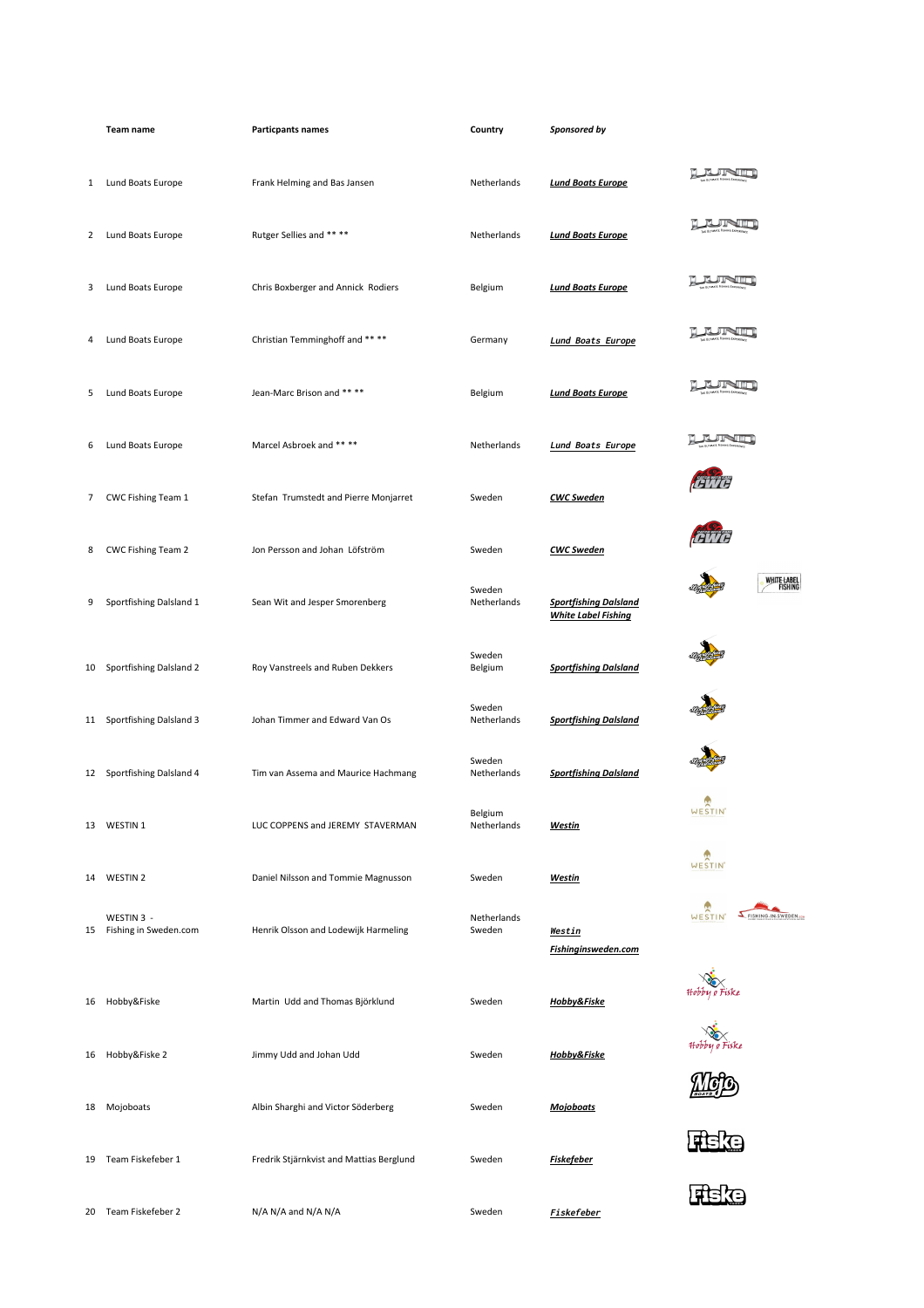|              | Team name                           | <b>Particpants names</b>                 | Country                | Sponsored by                                               |                                |
|--------------|-------------------------------------|------------------------------------------|------------------------|------------------------------------------------------------|--------------------------------|
| $\mathbf{1}$ | Lund Boats Europe                   | Frank Helming and Bas Jansen             | Netherlands            | <b>Lund Boats Europe</b>                                   | <b>JINT</b>                    |
| 2            | Lund Boats Europe                   | Rutger Sellies and ****                  | Netherlands            | <b>Lund Boats Europe</b>                                   | VШ                             |
| 3            | Lund Boats Europe                   | Chris Boxberger and Annick Rodiers       | Belgium                | <b>Lund Boats Europe</b>                                   | יעש                            |
| 4            | Lund Boats Europe                   | Christian Temminghoff and ****           | Germany                | Lund Boats Europe                                          |                                |
| 5            | Lund Boats Europe                   | Jean-Marc Brison and ** **               | Belgium                | <b>Lund Boats Europe</b>                                   |                                |
| 6            | Lund Boats Europe                   | Marcel Asbroek and ** **                 | Netherlands            | <b>Lund Boats Europe</b>                                   |                                |
| 7            | CWC Fishing Team 1                  | Stefan Trumstedt and Pierre Monjarret    | Sweden                 | <b>CWC Sweden</b>                                          |                                |
| 8            | CWC Fishing Team 2                  | Jon Persson and Johan Löfström           | Sweden                 | <b>CWC Sweden</b>                                          |                                |
| 9            | Sportfishing Dalsland 1             | Sean Wit and Jesper Smorenberg           | Sweden<br>Netherlands  | <b>Sportfishing Dalsland</b><br><b>White Label Fishing</b> | WHITE LABEL<br>FISHING         |
| 10           | Sportfishing Dalsland 2             | Roy Vanstreels and Ruben Dekkers         | Sweden<br>Belgium      | <b>Sportfishing Dalsland</b>                               |                                |
| 11           | Sportfishing Dalsland 3             | Johan Timmer and Edward Van Os           | Sweden<br>Netherlands  | <b>Sportfishing Dalsland</b>                               |                                |
|              | 12 Sportfishing Dalsland 4          | Tim van Assema and Maurice Hachmang      | Sweden<br>Netherlands  | <b>Sportfishing Dalsland</b>                               |                                |
|              | 13 WESTIN 1                         | LUC COPPENS and JEREMY STAVERMAN         | Belgium<br>Netherlands | <u>Westin</u>                                              | WESTIN'                        |
| 14           | WESTIN <sub>2</sub>                 | Daniel Nilsson and Tommie Magnusson      | Sweden                 | <b>Westin</b>                                              | WESTIN'                        |
| 15           | WESTIN 3 -<br>Fishing in Sweden.com | Henrik Olsson and Lodewijk Harmeling     | Netherlands<br>Sweden  | <u>Westin</u><br>Fishinginsweden.com                       | FISHING-IN-SWEDEN.com<br>WESTI |
| 16           | Hobby&Fiske                         | Martin Udd and Thomas Björklund          | Sweden                 | Hobby&Fiske                                                | Hobby o Fiske                  |
| 16           | Hobby&Fiske 2                       | Jimmy Udd and Johan Udd                  | Sweden                 | Hobby&Fiske                                                | Hobby <u>o</u> Fiske           |
| 18           | Mojoboats                           | Albin Sharghi and Victor Söderberg       | Sweden                 | <b>Mojoboats</b>                                           |                                |
| 19           | Team Fiskefeber 1                   | Fredrik Stjärnkvist and Mattias Berglund | Sweden                 | <b>Fiskefeber</b>                                          |                                |
|              | 20 Team Fiskefeber 2                | N/A N/A and N/A N/A                      | Sweden                 | Fiskefeber                                                 |                                |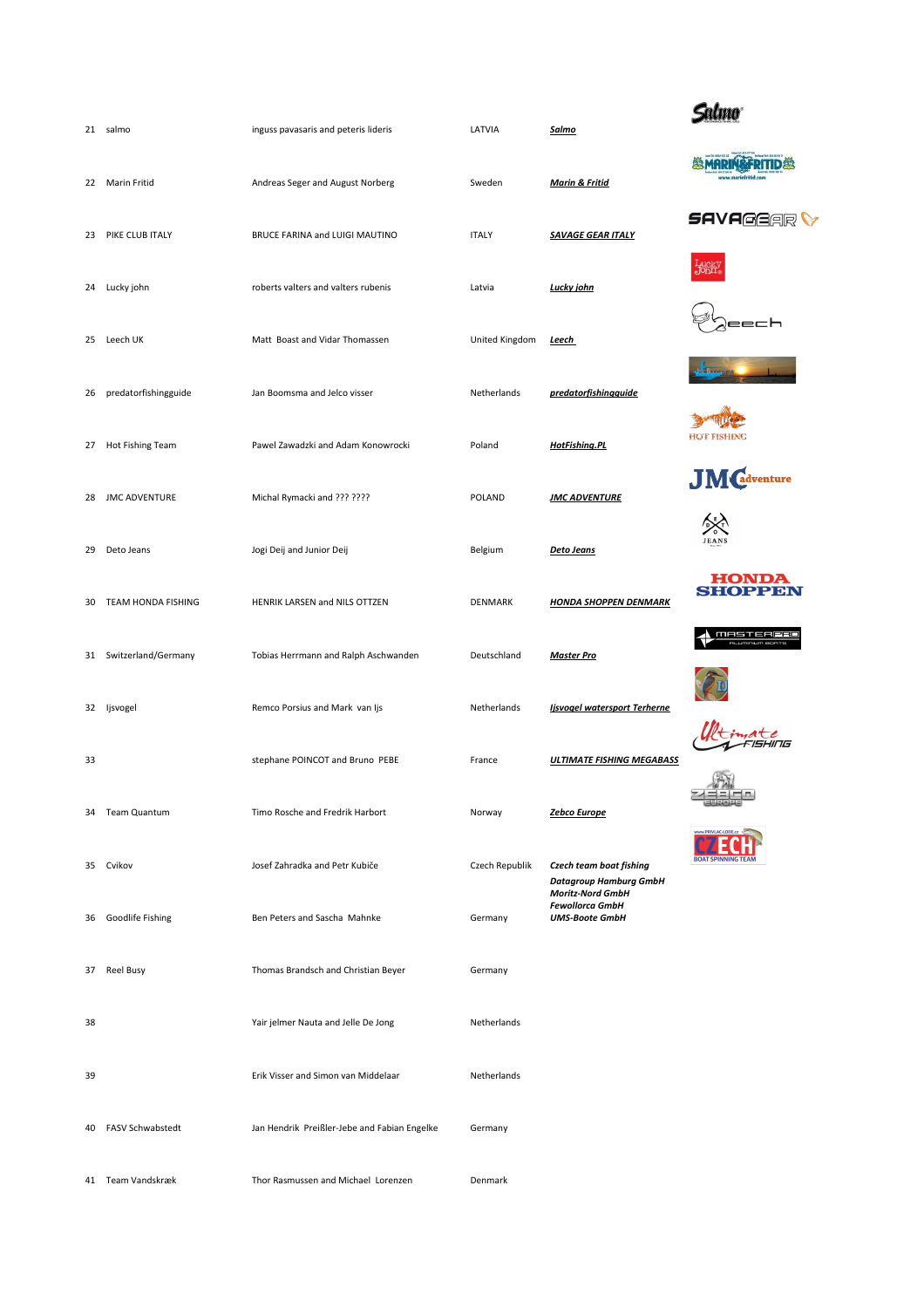|    | 21 salmo             | inguss pavasaris and peteris lideris         | LATVIA         | <u>Salmo</u>                                                               |                                         |
|----|----------------------|----------------------------------------------|----------------|----------------------------------------------------------------------------|-----------------------------------------|
| 22 | Marin Fritid         | Andreas Seger and August Norberg             | Sweden         | <b>Marin &amp; Fritid</b>                                                  |                                         |
|    |                      |                                              |                |                                                                            | <i>SAVA@G@R</i>                         |
| 23 | PIKE CLUB ITALY      | BRUCE FARINA and LUIGI MAUTINO               | <b>ITALY</b>   | <b>SAVAGE GEAR ITALY</b>                                                   |                                         |
|    | 24 Lucky john        | roberts valters and valters rubenis          | Latvia         | Lucky john                                                                 |                                         |
| 25 | Leech UK             | Matt Boast and Vidar Thomassen               | United Kingdom | <b>Leech</b>                                                               | eech                                    |
| 26 | predatorfishingguide | Jan Boomsma and Jelco visser                 | Netherlands    | predatorfishingguide                                                       |                                         |
|    | 27 Hot Fishing Team  | Pawel Zawadzki and Adam Konowrocki           | Poland         | <b>HotFishing.PL</b>                                                       | <b>HOT FISHING</b>                      |
|    |                      |                                              |                |                                                                            | <b>JM</b> Cadventure                    |
| 28 | <b>JMC ADVENTURE</b> | Michal Rymacki and ??? ????                  | POLAND         | <b>JMC ADVENTURE</b>                                                       |                                         |
| 29 | Deto Jeans           | Jogi Deij and Junior Deij                    | Belgium        | Deto Jeans                                                                 | <b>JEANS</b>                            |
| 30 | TEAM HONDA FISHING   | HENRIK LARSEN and NILS OTTZEN                | <b>DENMARK</b> | <b>HONDA SHOPPEN DENMARK</b>                                               | <b>HOND!</b><br><b>SHOPPEN</b>          |
| 31 | Switzerland/Germany  | Tobias Herrmann and Ralph Aschwanden         | Deutschland    | <b>Master Pro</b>                                                          | MASTERPRO<br>11 11 12 13 14 15 16 17 18 |
| 32 | Ijsvogel             | Remco Porsius and Mark van Ijs               | Netherlands    | <b>Ijsvogel watersport Terherne</b>                                        |                                         |
|    |                      |                                              |                |                                                                            |                                         |
| 33 |                      | stephane POINCOT and Bruno PEBE              | France         | <b>ULTIMATE FISHING MEGABASS</b>                                           |                                         |
|    | 34 Team Quantum      | Timo Rosche and Fredrik Harbort              | Norway         | Zebco Europe                                                               |                                         |
|    | 35 Cvikov            | Josef Zahradka and Petr Kubiče               | Czech Republik | Czech team boat fishing<br><b>Datagroup Hamburg GmbH</b>                   | <b>ROAT SPINNING TEAL</b>               |
| 36 | Goodlife Fishing     | Ben Peters and Sascha Mahnke                 | Germany        | <b>Moritz-Nord GmbH</b><br><b>Fewollorca GmbH</b><br><b>UMS-Boote GmbH</b> |                                         |
| 37 | <b>Reel Busy</b>     | Thomas Brandsch and Christian Beyer          | Germany        |                                                                            |                                         |
| 38 |                      | Yair jelmer Nauta and Jelle De Jong          | Netherlands    |                                                                            |                                         |
| 39 |                      | Erik Visser and Simon van Middelaar          | Netherlands    |                                                                            |                                         |
| 40 | FASV Schwabstedt     | Jan Hendrik Preißler-Jebe and Fabian Engelke | Germany        |                                                                            |                                         |
|    | 41 Team Vandskræk    | Thor Rasmussen and Michael Lorenzen          | Denmark        |                                                                            |                                         |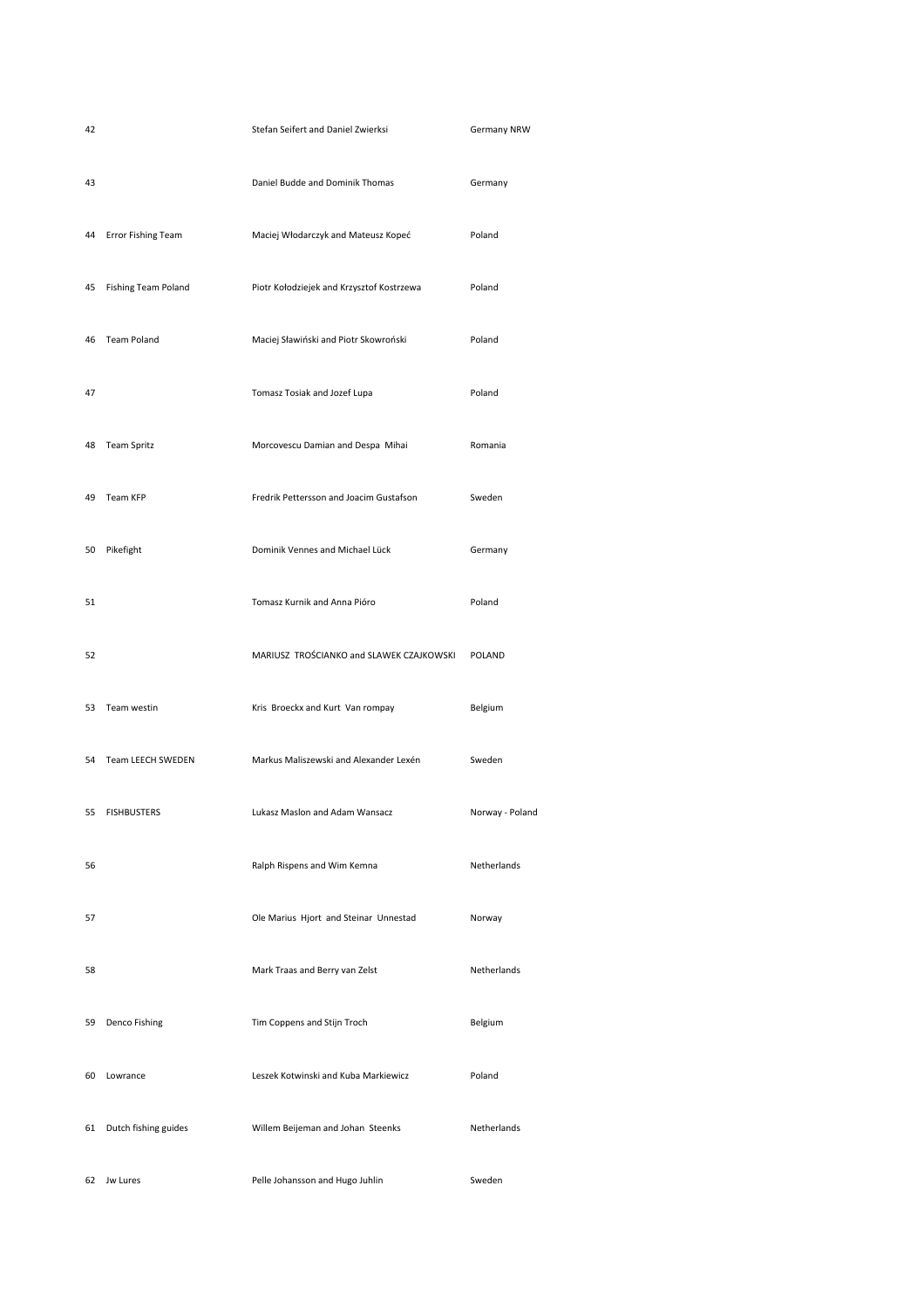| 42 |                            | Stefan Seifert and Daniel Zwierksi        | Germany NRW     |
|----|----------------------------|-------------------------------------------|-----------------|
| 43 |                            | Daniel Budde and Dominik Thomas           | Germany         |
| 44 | Error Fishing Team         | Maciej Włodarczyk and Mateusz Kopeć       | Poland          |
| 45 | <b>Fishing Team Poland</b> | Piotr Kołodziejek and Krzysztof Kostrzewa | Poland          |
|    | 46 Team Poland             | Maciej Sławiński and Piotr Skowroński     | Poland          |
| 47 |                            | Tomasz Tosiak and Jozef Lupa              | Poland          |
|    | 48 Team Spritz             | Morcovescu Damian and Despa Mihai         | Romania         |
| 49 | Team KFP                   | Fredrik Pettersson and Joacim Gustafson   | Sweden          |
|    | 50 Pikefight               | Dominik Vennes and Michael Lück           | Germany         |
| 51 |                            | Tomasz Kurnik and Anna Pióro              | Poland          |
| 52 |                            | MARIUSZ TROŚCIANKO and SLAWEK CZAJKOWSKI  | POLAND          |
|    | 53 Team westin             | Kris Broeckx and Kurt Van rompay          | Belgium         |
|    | 54 Team LEECH SWEDEN       | Markus Maliszewski and Alexander Lexén    | Sweden          |
|    | 55 FISHBUSTERS             | Lukasz Maslon and Adam Wansacz            | Norway - Poland |
| 56 |                            | Ralph Rispens and Wim Kemna               | Netherlands     |
| 57 |                            | Ole Marius Hjort and Steinar Unnestad     | Norway          |
| 58 |                            | Mark Traas and Berry van Zelst            | Netherlands     |
| 59 | Denco Fishing              | Tim Coppens and Stijn Troch               | Belgium         |
|    | 60 Lowrance                | Leszek Kotwinski and Kuba Markiewicz      | Poland          |
|    | 61 Dutch fishing guides    | Willem Beijeman and Johan Steenks         | Netherlands     |
|    | 62 Jw Lures                | Pelle Johansson and Hugo Juhlin           | Sweden          |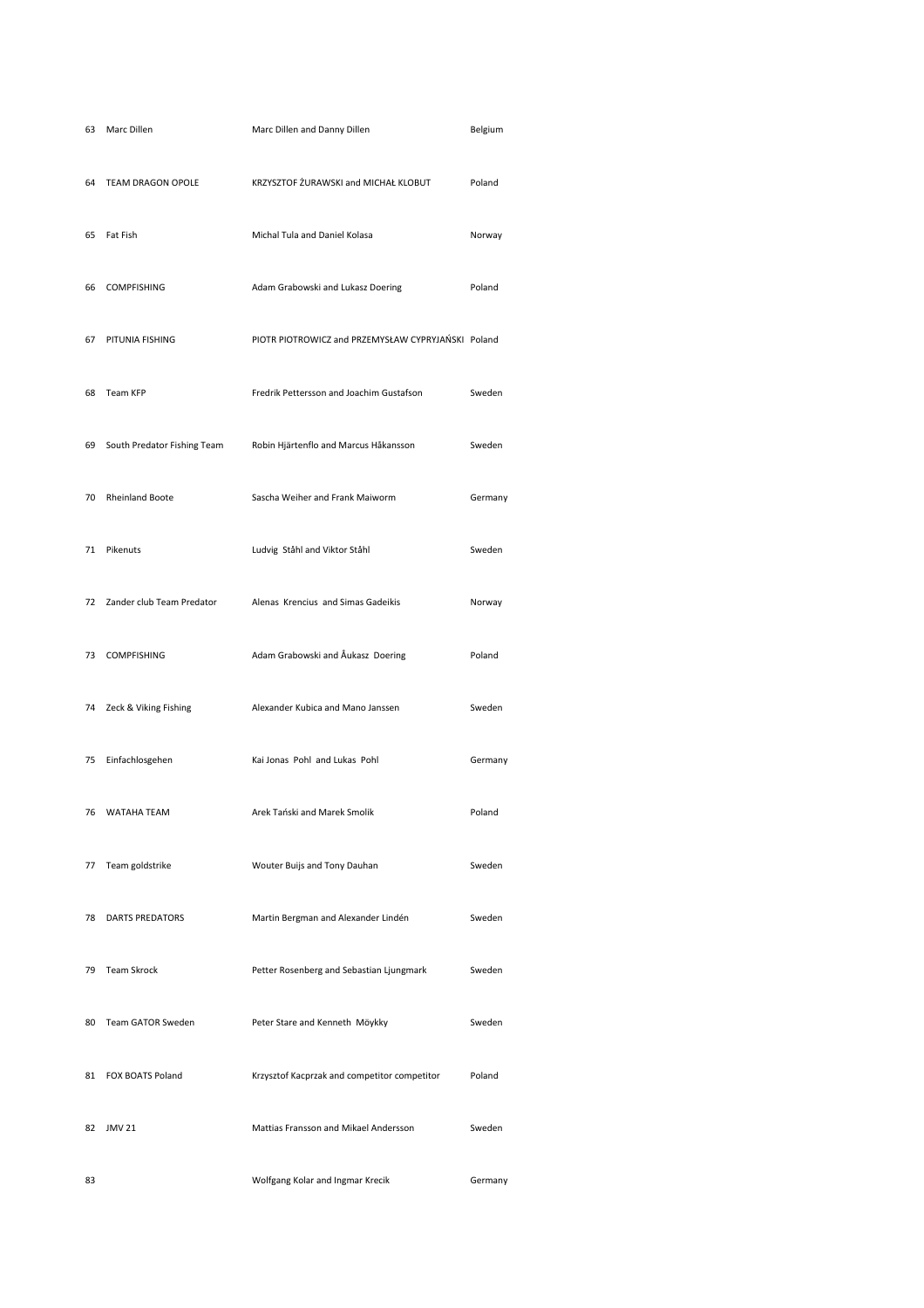| 63 | Marc Dillen                 | Marc Dillen and Danny Dillen                       | Belgium |
|----|-----------------------------|----------------------------------------------------|---------|
| 64 | TEAM DRAGON OPOLE           | KRZYSZTOF ŻURAWSKI and MICHAŁ KLOBUT               | Poland  |
| 65 | Fat Fish                    | Michal Tula and Daniel Kolasa                      | Norway  |
| 66 | <b>COMPFISHING</b>          | Adam Grabowski and Lukasz Doering                  | Poland  |
| 67 | PITUNIA FISHING             | PIOTR PIOTROWICZ and PRZEMYSŁAW CYPRYJAŃSKI Poland |         |
| 68 | Team KFP                    | Fredrik Pettersson and Joachim Gustafson           | Sweden  |
| 69 | South Predator Fishing Team | Robin Hjärtenflo and Marcus Håkansson              | Sweden  |
| 70 | <b>Rheinland Boote</b>      | Sascha Weiher and Frank Maiworm                    | Germany |
| 71 | Pikenuts                    | Ludvig Ståhl and Viktor Ståhl                      | Sweden  |
| 72 | Zander club Team Predator   | Alenas Krencius and Simas Gadeikis                 | Norway  |
| 73 | <b>COMPFISHING</b>          | Adam Grabowski and Åukasz Doering                  | Poland  |
|    | 74 Zeck & Viking Fishing    | Alexander Kubica and Mano Janssen                  | Sweden  |
|    | 75 Einfachlosgehen          | Kai Jonas Pohl and Lukas Pohl                      | Germany |
|    | 76 WATAHA TEAM              | Arek Tański and Marek Smolik                       | Poland  |
| 77 | Team goldstrike             | Wouter Buijs and Tony Dauhan                       | Sweden  |
| 78 | <b>DARTS PREDATORS</b>      | Martin Bergman and Alexander Lindén                | Sweden  |
| 79 | <b>Team Skrock</b>          | Petter Rosenberg and Sebastian Ljungmark           | Sweden  |
| 80 | Team GATOR Sweden           | Peter Stare and Kenneth Möykky                     | Sweden  |
|    | 81 FOX BOATS Poland         | Krzysztof Kacprzak and competitor competitor       | Poland  |
| 82 | <b>JMV 21</b>               | Mattias Fransson and Mikael Andersson              | Sweden  |
| 83 |                             | Wolfgang Kolar and Ingmar Krecik                   | Germany |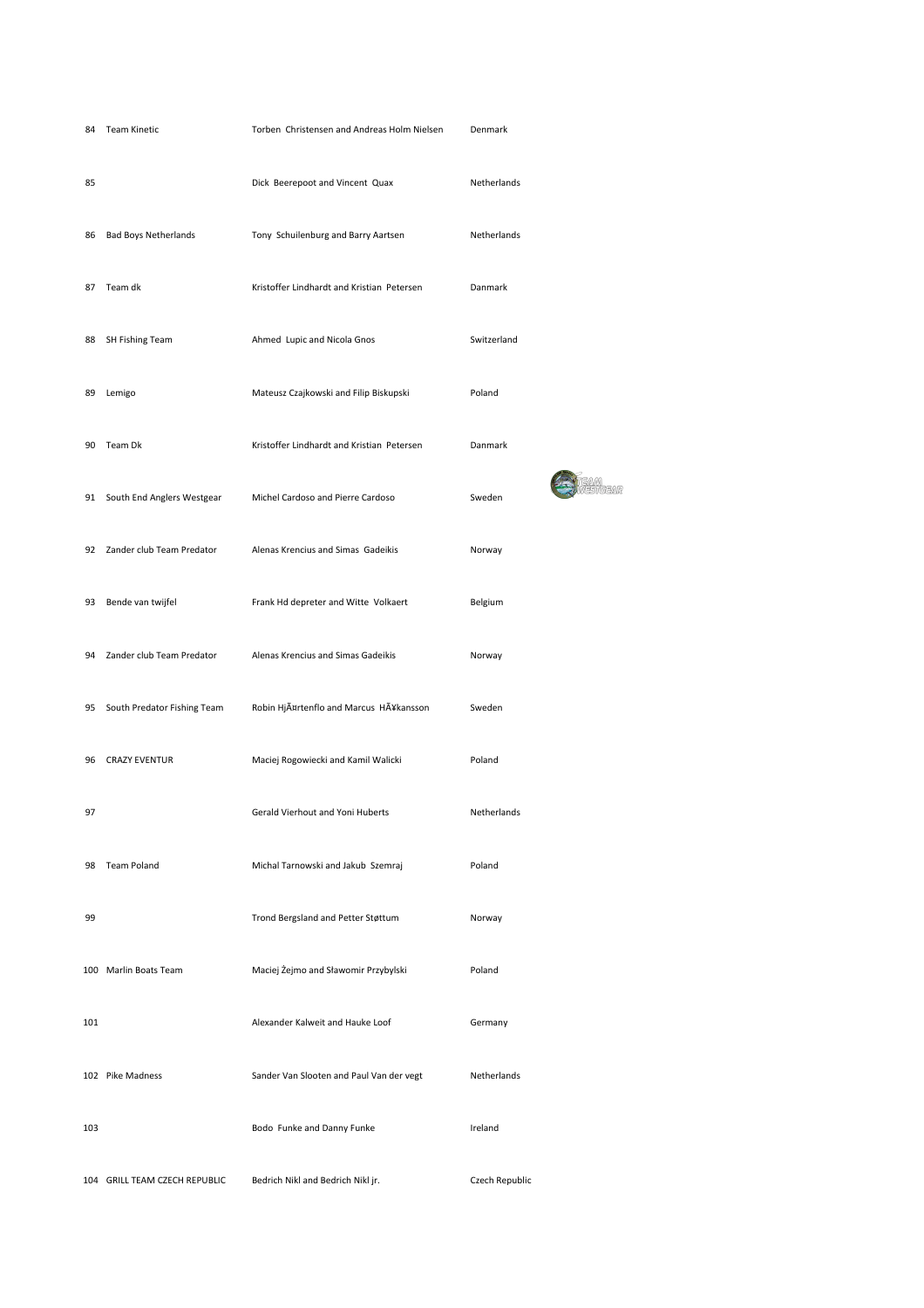|     | 84 Team Kinetic                | Torben Christensen and Andreas Holm Nielsen | Denmark        |
|-----|--------------------------------|---------------------------------------------|----------------|
| 85  |                                | Dick Beerepoot and Vincent Quax             | Netherlands    |
| 86  | <b>Bad Boys Netherlands</b>    | Tony Schuilenburg and Barry Aartsen         | Netherlands    |
| 87  | Team dk                        | Kristoffer Lindhardt and Kristian Petersen  | Danmark        |
| 88  | SH Fishing Team                | Ahmed Lupic and Nicola Gnos                 | Switzerland    |
| 89  | Lemigo                         | Mateusz Czajkowski and Filip Biskupski      | Poland         |
| 90  | Team Dk                        | Kristoffer Lindhardt and Kristian Petersen  | Danmark        |
|     | 91 South End Anglers Westgear  | Michel Cardoso and Pierre Cardoso           | Sweden         |
|     | 92 Zander club Team Predator   | Alenas Krencius and Simas Gadeikis          | Norway         |
| 93  | Bende van twijfel              | Frank Hd depreter and Witte Volkaert        | Belgium        |
|     | 94 Zander club Team Predator   | Alenas Krencius and Simas Gadeikis          | Norway         |
|     | 95 South Predator Fishing Team | Robin HjĤrtenflo and Marcus Hĥkansson       | Sweden         |
|     | 96 CRAZY EVENTUR               | Maciej Rogowiecki and Kamil Walicki         | Poland         |
| 97  |                                | Gerald Vierhout and Yoni Huberts            | Netherlands    |
| 98  | <b>Team Poland</b>             | Michal Tarnowski and Jakub Szemraj          | Poland         |
| 99  |                                | Trond Bergsland and Petter Støttum          | Norway         |
|     | 100 Marlin Boats Team          | Maciej Żejmo and Sławomir Przybylski        | Poland         |
| 101 |                                | Alexander Kalweit and Hauke Loof            | Germany        |
|     | 102 Pike Madness               | Sander Van Slooten and Paul Van der vegt    | Netherlands    |
| 103 |                                | Bodo Funke and Danny Funke                  | Ireland        |
|     | 104 GRILL TEAM CZECH REPUBLIC  | Bedrich Nikl and Bedrich Nikl jr.           | Czech Republic |